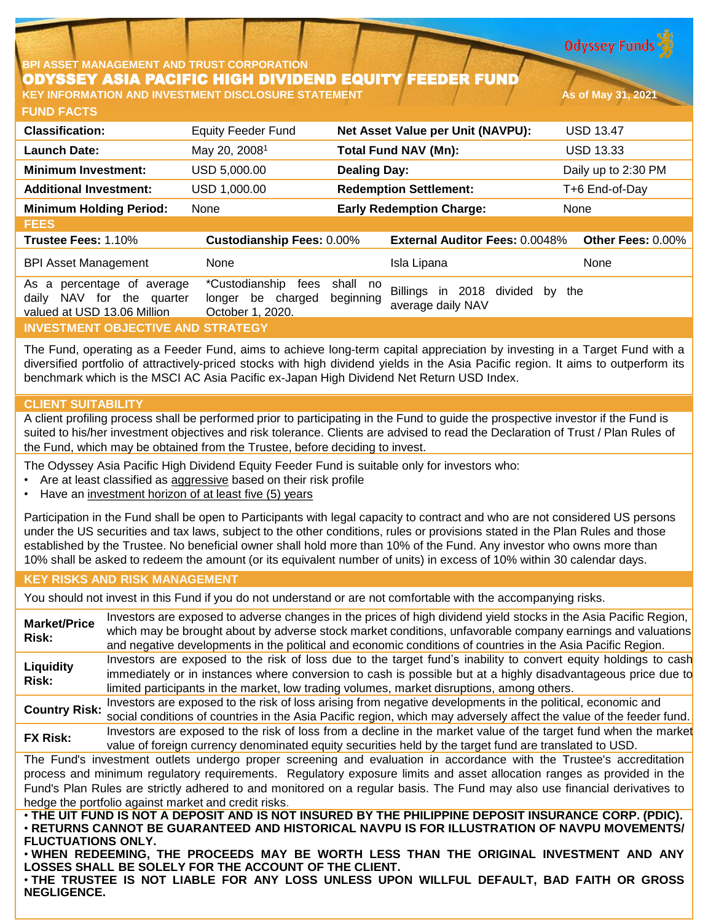**Odyssey Funds** 

### **BPI ASSET MANAGEMENT AND TRUST CORPORATION** ODYSSEY ASIA PACIFIC HIGH DIVIDEND EQUITY FEEDER FUND **KEY INFORMATION AND INVESTMENT DISCLOSURE STATEMENT As of May 31, 2021**

**FUND FACTS**

| <b>Classification:</b>                                                                 | <b>Equity Feeder Fund</b>                                       | Net Asset Value per Unit (NAVPU):                                      | <b>USD 13.47</b>    |
|----------------------------------------------------------------------------------------|-----------------------------------------------------------------|------------------------------------------------------------------------|---------------------|
| <b>Launch Date:</b>                                                                    | May 20, 2008 <sup>1</sup>                                       | <b>Total Fund NAV (Mn):</b>                                            | <b>USD 13.33</b>    |
| <b>Minimum Investment:</b>                                                             | USD 5,000.00                                                    | <b>Dealing Day:</b>                                                    | Daily up to 2:30 PM |
| <b>Additional Investment:</b>                                                          | USD 1,000.00                                                    | <b>Redemption Settlement:</b>                                          | T+6 End-of-Day      |
| <b>Minimum Holding Period:</b>                                                         | None                                                            | <b>Early Redemption Charge:</b>                                        | None                |
| <b>FEES</b>                                                                            |                                                                 |                                                                        |                     |
| Trustee Fees: 1.10%                                                                    | <b>Custodianship Fees: 0.00%</b>                                | <b>External Auditor Fees: 0.0048%</b>                                  | Other Fees: 0.00%   |
| <b>BPI Asset Management</b>                                                            | None                                                            | Isla Lipana                                                            | None                |
| As a percentage of average<br>daily NAV for the quarter<br>valued at USD 13.06 Million | *Custodianship<br>fees<br>longer be charged<br>October 1, 2020. | shall no<br>Billings in 2018 divided<br>beginning<br>average daily NAV | the<br>by           |
| <b>INVESTMENT OBJECTIVE AND STRATEGY</b>                                               |                                                                 |                                                                        |                     |

The Fund, operating as a Feeder Fund, aims to achieve long-term capital appreciation by investing in a Target Fund with a diversified portfolio of attractively-priced stocks with high dividend yields in the Asia Pacific region. It aims to outperform its benchmark which is the MSCI AC Asia Pacific ex-Japan High Dividend Net Return USD Index.

# **CLIENT SUITABILITY**

A client profiling process shall be performed prior to participating in the Fund to guide the prospective investor if the Fund is suited to his/her investment objectives and risk tolerance. Clients are advised to read the Declaration of Trust / Plan Rules of the Fund, which may be obtained from the Trustee, before deciding to invest.

The Odyssey Asia Pacific High Dividend Equity Feeder Fund is suitable only for investors who:

- Are at least classified as aggressive based on their risk profile
- Have an investment horizon of at least five (5) years

Participation in the Fund shall be open to Participants with legal capacity to contract and who are not considered US persons under the US securities and tax laws, subject to the other conditions, rules or provisions stated in the Plan Rules and those established by the Trustee. No beneficial owner shall hold more than 10% of the Fund. Any investor who owns more than 10% shall be asked to redeem the amount (or its equivalent number of units) in excess of 10% within 30 calendar days.

## **KEY RISKS AND RISK MANAGEMENT**

You should not invest in this Fund if you do not understand or are not comfortable with the accompanying risks.

**Market/Price Risk:** Investors are exposed to adverse changes in the prices of high dividend yield stocks in the Asia Pacific Region, which may be brought about by adverse stock market conditions, unfavorable company earnings and valuations and negative developments in the political and economic conditions of countries in the Asia Pacific Region. **Liquidity Risk:** Investors are exposed to the risk of loss due to the target fund's inability to convert equity holdings to cash immediately or in instances where conversion to cash is possible but at a highly disadvantageous price due to limited participants in the market, low trading volumes, market disruptions, among others. **Country Risk:** Investors are exposed to the risk of loss arising from negative developments in the political, economic and social conditions of countries in the Asia Pacific region, which may adversely affect the value of the feeder fund. **FX Risk:** Investors are exposed to the risk of loss from <sup>a</sup> decline in the market value of the target fund when the market value of foreign currency denominated equity securities held by the target fund are translated to USD. The Fund's investment outlets undergo proper screening and evaluation in accordance with the Trustee's accreditation process and minimum regulatory requirements. Regulatory exposure limits and asset allocation ranges as provided in the Fund's Plan Rules are strictly adhered to and monitored on a regular basis. The Fund may also use financial derivatives to hedge the portfolio against market and credit risks. . THE UIT FUND IS NOT A DEPOSIT AND IS NOT INSURED BY THE PHILIPPINE DEPOSIT INSURANCE CORP. (PDIC). • **RETURNS CANNOT BE GUARANTEED AND HISTORICAL NAVPU IS FOR ILLUSTRATION OF NAVPU MOVEMENTS/ FLUCTUATIONS ONLY.**

• **WHEN REDEEMING, THE PROCEEDS MAY BE WORTH LESS THAN THE ORIGINAL INVESTMENT AND ANY LOSSES SHALL BE SOLELY FOR THE ACCOUNT OF THE CLIENT.**

• **THE TRUSTEE IS NOT LIABLE FOR ANY LOSS UNLESS UPON WILLFUL DEFAULT, BAD FAITH OR GROSS NEGLIGENCE.**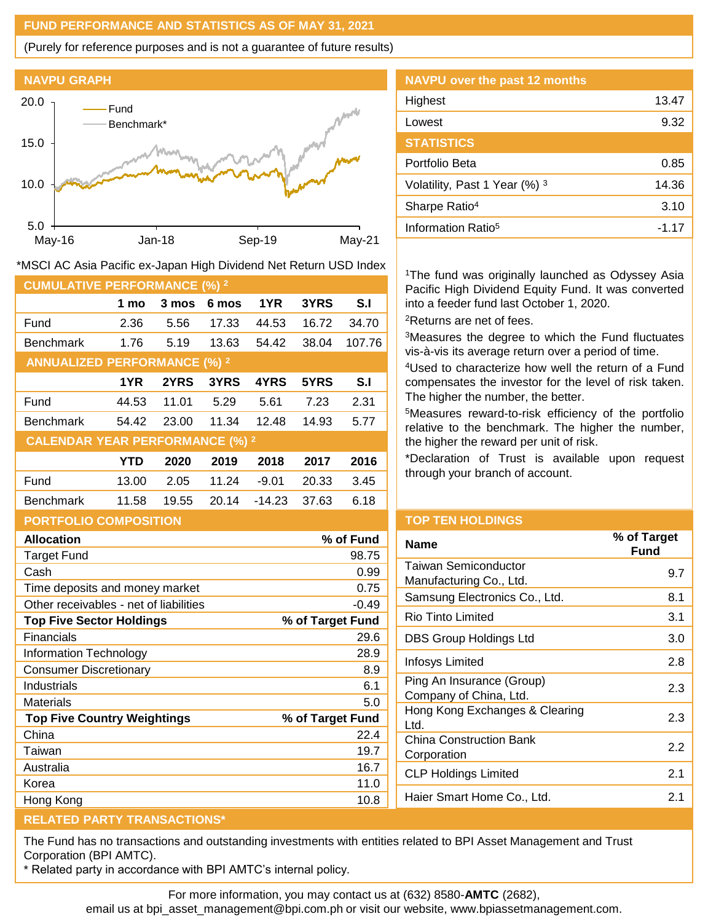## **FUND PERFORMANCE AND STATISTICS AS OF MAY 31, 2021**

(Purely for reference purposes and is not a guarantee of future results)



|                 | Highest                        | 13.47   |
|-----------------|--------------------------------|---------|
| $N^{w^{e^{l}}}$ | Lowest                         | 9.32    |
| W               | <b>STATISTICS</b>              |         |
| <b>Novel</b>    | Portfolio Beta                 | 0.85    |
| Mar             | Volatility, Past 1 Year (%) 3  | 14.36   |
|                 | Sharpe Ratio <sup>4</sup>      | 3.10    |
|                 | Information Ratio <sup>5</sup> | $-1.17$ |

**NAVPU over the past 12 months**

<sup>1</sup>The fund was originally launched as Odyssey Asia Pacific High Dividend Equity Fund. It was converted into a feeder fund last October 1, 2020. <sup>2</sup>Returns are net of fees.

<sup>3</sup>Measures the degree to which the Fund fluctuates vis-à-vis its average return over a period of time.

<sup>4</sup>Used to characterize how well the return of a Fund compensates the investor for the level of risk taken. The higher the number, the better.

<sup>5</sup>Measures reward-to-risk efficiency of the portfolio relative to the benchmark. The higher the number, the higher the reward per unit of risk.

\*Declaration of Trust is available upon request through your branch of account.

| <b>PORTFOLIO COMPOSITION</b>           |                  |
|----------------------------------------|------------------|
| <b>Allocation</b>                      | % of Fund        |
| <b>Target Fund</b>                     | 98.75            |
| Cash                                   | 0.99             |
| Time deposits and money market         | 0.75             |
| Other receivables - net of liabilities | $-0.49$          |
| <b>Top Five Sector Holdings</b>        | % of Target Fund |
| Financials                             | 29.6             |
| Information Technology                 | 28.9             |
| <b>Consumer Discretionary</b>          | 8.9              |
| Industrials                            | 6.1              |
| <b>Materials</b>                       | 5.0              |
| <b>Top Five Country Weightings</b>     | % of Target Fund |
| China                                  | 22.4             |
| Taiwan                                 | 19.7             |
| Australia                              | 16.7             |
| Korea                                  | 11.0             |
| Hong Kong                              | 10.8             |

### **TOP TEN HOLDINGS**

| <b>Name</b>                                         | % of Target<br>Fund |
|-----------------------------------------------------|---------------------|
| Taiwan Semiconductor<br>Manufacturing Co., Ltd.     | 9.7                 |
| Samsung Electronics Co., Ltd.                       | 8.1                 |
| Rio Tinto Limited                                   | 3.1                 |
| DBS Group Holdings Ltd                              | 3.0                 |
| Infosys Limited                                     | 2.8                 |
| Ping An Insurance (Group)<br>Company of China, Ltd. | 2.3                 |
| Hong Kong Exchanges & Clearing<br>Ltd.              | 2.3                 |
| <b>China Construction Bank</b><br>Corporation       | 2.2                 |
| <b>CLP Holdings Limited</b>                         | 2.1                 |
| Haier Smart Home Co., Ltd.                          | 2.1                 |
|                                                     |                     |

### **RELATED PARTY TRANSACTIONS\***

The Fund has no transactions and outstanding investments with entities related to BPI Asset Management and Trust Corporation (BPI AMTC).

\* Related party in accordance with BPI AMTC's internal policy.

For more information, you may contact us at (632) 8580-**AMTC** (2682),

email us at bpi\_asset\_management@bpi.com.ph or visit our website, www.bpiassetmanagement.com.

| *MSCI AC Asia Pacific ex-Japan High Dividend Net Return USD Index |  |  |
|-------------------------------------------------------------------|--|--|
|                                                                   |  |  |

Fund 2.36 5.56 17.33 44.53 16.72 34.70 Benchmark 1.76 5.19 13.63 54.42 38.04 107.76

Fund 44.53 11.01 5.29 5.61 7.23 2.31 Benchmark 54.42 23.00 11.34 12.48 14.93 5.77

Fund 13.00 2.05 11.24 -9.01 20.33 3.45 Benchmark 11.58 19.55 20.14 -14.23 37.63 6.18

**1 mo 3 mos 6 mos 1YR 3YRS S.I**

**1YR 2YRS 3YRS 4YRS 5YRS S.I**

**YTD 2020 2019 2018 2017 2016**

**CUMULATIVE PERFORMANCE (%) <sup>2</sup>**

**ANNUALIZED PERFORMANCE (%) <sup>2</sup>**

**CALENDAR YEAR PERFORMANCE (%) <sup>2</sup>**